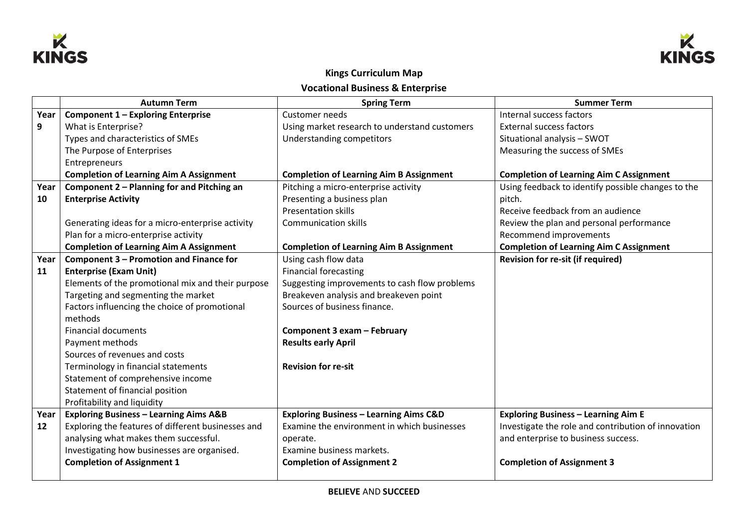



## **Kings Curriculum Map Vocational Business & Enterprise**

|      | <b>Autumn Term</b>                                 | <b>Spring Term</b>                                | <b>Summer Term</b>                                  |
|------|----------------------------------------------------|---------------------------------------------------|-----------------------------------------------------|
| Year | Component 1 - Exploring Enterprise                 | Customer needs                                    | Internal success factors                            |
| 9    | What is Enterprise?                                | Using market research to understand customers     | <b>External success factors</b>                     |
|      | Types and characteristics of SMEs                  | <b>Understanding competitors</b>                  | Situational analysis - SWOT                         |
|      | The Purpose of Enterprises                         |                                                   | Measuring the success of SMEs                       |
|      | Entrepreneurs                                      |                                                   |                                                     |
|      | <b>Completion of Learning Aim A Assignment</b>     | <b>Completion of Learning Aim B Assignment</b>    | <b>Completion of Learning Aim C Assignment</b>      |
| Year | Component 2 - Planning for and Pitching an         | Pitching a micro-enterprise activity              | Using feedback to identify possible changes to the  |
| 10   | <b>Enterprise Activity</b>                         | Presenting a business plan                        | pitch.                                              |
|      |                                                    | <b>Presentation skills</b>                        | Receive feedback from an audience                   |
|      | Generating ideas for a micro-enterprise activity   | <b>Communication skills</b>                       | Review the plan and personal performance            |
|      | Plan for a micro-enterprise activity               |                                                   | Recommend improvements                              |
|      | <b>Completion of Learning Aim A Assignment</b>     | <b>Completion of Learning Aim B Assignment</b>    | <b>Completion of Learning Aim C Assignment</b>      |
| Year | Component 3 - Promotion and Finance for            | Using cash flow data                              | <b>Revision for re-sit (if required)</b>            |
| 11   | <b>Enterprise (Exam Unit)</b>                      | <b>Financial forecasting</b>                      |                                                     |
|      | Elements of the promotional mix and their purpose  | Suggesting improvements to cash flow problems     |                                                     |
|      | Targeting and segmenting the market                | Breakeven analysis and breakeven point            |                                                     |
|      | Factors influencing the choice of promotional      | Sources of business finance.                      |                                                     |
|      | methods                                            |                                                   |                                                     |
|      | <b>Financial documents</b>                         | Component 3 exam - February                       |                                                     |
|      | Payment methods                                    | <b>Results early April</b>                        |                                                     |
|      | Sources of revenues and costs                      |                                                   |                                                     |
|      | Terminology in financial statements                | <b>Revision for re-sit</b>                        |                                                     |
|      | Statement of comprehensive income                  |                                                   |                                                     |
|      | Statement of financial position                    |                                                   |                                                     |
|      | Profitability and liquidity                        |                                                   |                                                     |
| Year | <b>Exploring Business - Learning Aims A&amp;B</b>  | <b>Exploring Business - Learning Aims C&amp;D</b> | <b>Exploring Business - Learning Aim E</b>          |
| 12   | Exploring the features of different businesses and | Examine the environment in which businesses       | Investigate the role and contribution of innovation |
|      | analysing what makes them successful.              | operate.                                          | and enterprise to business success.                 |
|      | Investigating how businesses are organised.        | Examine business markets.                         |                                                     |
|      | <b>Completion of Assignment 1</b>                  | <b>Completion of Assignment 2</b>                 | <b>Completion of Assignment 3</b>                   |
|      |                                                    |                                                   |                                                     |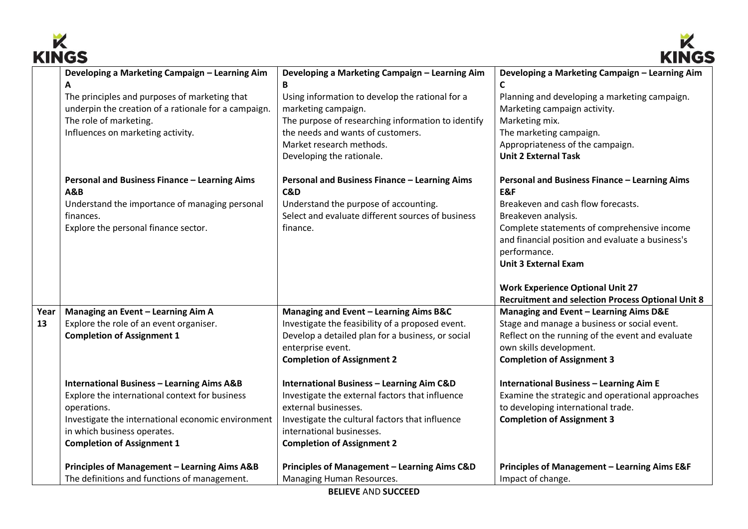



|            | www                                                                                                                                                                                                                                                                                                                                                           |                                                                                                                                                                                                                                                                                                                                                                                                                                         | muv                                                                                                                                                                                                                                                                                                                                                                       |
|------------|---------------------------------------------------------------------------------------------------------------------------------------------------------------------------------------------------------------------------------------------------------------------------------------------------------------------------------------------------------------|-----------------------------------------------------------------------------------------------------------------------------------------------------------------------------------------------------------------------------------------------------------------------------------------------------------------------------------------------------------------------------------------------------------------------------------------|---------------------------------------------------------------------------------------------------------------------------------------------------------------------------------------------------------------------------------------------------------------------------------------------------------------------------------------------------------------------------|
|            | Developing a Marketing Campaign - Learning Aim<br>Α<br>The principles and purposes of marketing that<br>underpin the creation of a rationale for a campaign.<br>The role of marketing.<br>Influences on marketing activity.<br>Personal and Business Finance - Learning Aims<br><b>A&amp;B</b><br>Understand the importance of managing personal<br>finances. | Developing a Marketing Campaign - Learning Aim<br>B<br>Using information to develop the rational for a<br>marketing campaign.<br>The purpose of researching information to identify<br>the needs and wants of customers.<br>Market research methods.<br>Developing the rationale.<br>Personal and Business Finance - Learning Aims<br>C&D<br>Understand the purpose of accounting.<br>Select and evaluate different sources of business | Developing a Marketing Campaign - Learning Aim<br>C<br>Planning and developing a marketing campaign.<br>Marketing campaign activity.<br>Marketing mix.<br>The marketing campaign.<br>Appropriateness of the campaign.<br><b>Unit 2 External Task</b><br>Personal and Business Finance - Learning Aims<br>E&F<br>Breakeven and cash flow forecasts.<br>Breakeven analysis. |
|            | Explore the personal finance sector.                                                                                                                                                                                                                                                                                                                          | finance.                                                                                                                                                                                                                                                                                                                                                                                                                                | Complete statements of comprehensive income<br>and financial position and evaluate a business's<br>performance.<br><b>Unit 3 External Exam</b><br><b>Work Experience Optional Unit 27</b><br><b>Recruitment and selection Process Optional Unit 8</b>                                                                                                                     |
| Year<br>13 | Managing an Event - Learning Aim A<br>Explore the role of an event organiser.<br><b>Completion of Assignment 1</b>                                                                                                                                                                                                                                            | Managing and Event - Learning Aims B&C<br>Investigate the feasibility of a proposed event.<br>Develop a detailed plan for a business, or social<br>enterprise event.<br><b>Completion of Assignment 2</b>                                                                                                                                                                                                                               | Managing and Event - Learning Aims D&E<br>Stage and manage a business or social event.<br>Reflect on the running of the event and evaluate<br>own skills development.<br><b>Completion of Assignment 3</b>                                                                                                                                                                |
|            | <b>International Business - Learning Aims A&amp;B</b><br>Explore the international context for business<br>operations.<br>Investigate the international economic environment<br>in which business operates.<br><b>Completion of Assignment 1</b>                                                                                                              | <b>International Business - Learning Aim C&amp;D</b><br>Investigate the external factors that influence<br>external businesses.<br>Investigate the cultural factors that influence<br>international businesses.<br><b>Completion of Assignment 2</b>                                                                                                                                                                                    | <b>International Business - Learning Aim E</b><br>Examine the strategic and operational approaches<br>to developing international trade.<br><b>Completion of Assignment 3</b>                                                                                                                                                                                             |
|            | Principles of Management - Learning Aims A&B<br>The definitions and functions of management.                                                                                                                                                                                                                                                                  | Principles of Management - Learning Aims C&D<br>Managing Human Resources.                                                                                                                                                                                                                                                                                                                                                               | Principles of Management - Learning Aims E&F<br>Impact of change.                                                                                                                                                                                                                                                                                                         |
|            |                                                                                                                                                                                                                                                                                                                                                               | <b>BELIEVE AND SUCCEED</b>                                                                                                                                                                                                                                                                                                                                                                                                              |                                                                                                                                                                                                                                                                                                                                                                           |